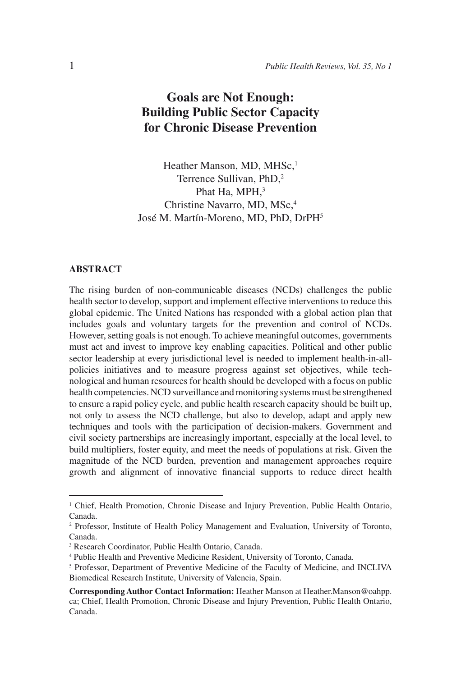# **Goals are Not Enough: Building Public Sector Capacity for Chronic Disease Prevention**

Heather Manson, MD, MHSc,<sup>1</sup> Terrence Sullivan, PhD,2 Phat Ha, MPH, 3 Christine Navarro, MD, MSc,<sup>4</sup> José M. Martín-Moreno, MD, PhD, DrPH5

#### **ABSTRACT**

The rising burden of non-communicable diseases (NCDs) challenges the public health sector to develop, support and implement effective interventions to reduce this global epidemic. The United Nations has responded with a global action plan that includes goals and voluntary targets for the prevention and control of NCDs. However, setting goals is not enough. To achieve meaningful outcomes, governments must act and invest to improve key enabling capacities. Political and other public sector leadership at every jurisdictional level is needed to implement health-in-allpolicies initiatives and to measure progress against set objectives, while technological and human resources for health should be developed with a focus on public health competencies. NCD surveillance and monitoring systems must be strengthened to ensure a rapid policy cycle, and public health research capacity should be built up, not only to assess the NCD challenge, but also to develop, adapt and apply new techniques and tools with the participation of decision-makers. Government and civil society partnerships are increasingly important, especially at the local level, to build multipliers, foster equity, and meet the needs of populations at risk. Given the magnitude of the NCD burden, prevention and management approaches require growth and alignment of innovative financial supports to reduce direct health

<sup>&</sup>lt;sup>1</sup> Chief, Health Promotion, Chronic Disease and Injury Prevention, Public Health Ontario, Canada.

<sup>2</sup> Professor, Institute of Health Policy Management and Evaluation, University of Toronto, Canada.

<sup>3</sup> Research Coordinator, Public Health Ontario, Canada.

<sup>4</sup> Public Health and Preventive Medicine Resident, University of Toronto, Canada.

<sup>&</sup>lt;sup>5</sup> Professor, Department of Preventive Medicine of the Faculty of Medicine, and INCLIVA Biomedical Research Institute, University of Valencia, Spain.

**Corresponding Author Contact Information:** Heather Manson at Heather.Manson@oahpp. ca; Chief, Health Promotion, Chronic Disease and Injury Prevention, Public Health Ontario, Canada.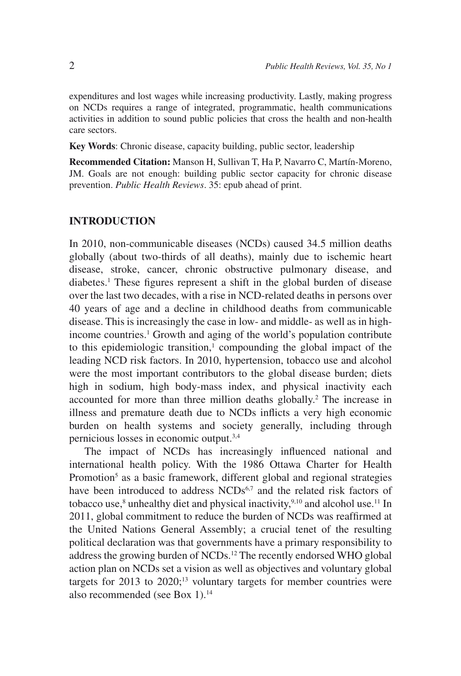expenditures and lost wages while increasing productivity. Lastly, making progress on NCDs requires a range of integrated, programmatic, health communications activities in addition to sound public policies that cross the health and non-health care sectors.

**Key Words**: Chronic disease, capacity building, public sector, leadership

**Recommended Citation:** Manson H, Sullivan T, Ha P, Navarro C, Martín-Moreno, JM. Goals are not enough: building public sector capacity for chronic disease prevention. *Public Health Reviews*. 35: epub ahead of print.

### **INTRODUCTION**

In 2010, non-communicable diseases (NCDs) caused 34.5 million deaths globally (about two-thirds of all deaths), mainly due to ischemic heart disease, stroke, cancer, chronic obstructive pulmonary disease, and diabetes.1 These figures represent a shift in the global burden of disease over the last two decades, with a rise in NCD-related deaths in persons over 40 years of age and a decline in childhood deaths from communicable disease. This is increasingly the case in low- and middle- as well as in highincome countries.<sup>1</sup> Growth and aging of the world's population contribute to this epidemiologic transition,<sup>1</sup> compounding the global impact of the leading NCD risk factors. In 2010, hypertension, tobacco use and alcohol were the most important contributors to the global disease burden; diets high in sodium, high body-mass index, and physical inactivity each accounted for more than three million deaths globally.<sup>2</sup> The increase in illness and premature death due to NCDs inflicts a very high economic burden on health systems and society generally, including through pernicious losses in economic output.3,4

The impact of NCDs has increasingly influenced national and international health policy. With the 1986 Ottawa Charter for Health Promotion<sup>5</sup> as a basic framework, different global and regional strategies have been introduced to address NCDs<sup>6,7</sup> and the related risk factors of tobacco use,<sup>8</sup> unhealthy diet and physical inactivity,<sup>9,10</sup> and alcohol use.<sup>11</sup> In 2011, global commitment to reduce the burden of NCDs was reaffirmed at the United Nations General Assembly; a crucial tenet of the resulting political declaration was that governments have a primary responsibility to address the growing burden of NCDs.12 The recently endorsed WHO global action plan on NCDs set a vision as well as objectives and voluntary global targets for  $2013$  to  $2020$ ;<sup>13</sup> voluntary targets for member countries were also recommended (see Box 1).<sup>14</sup>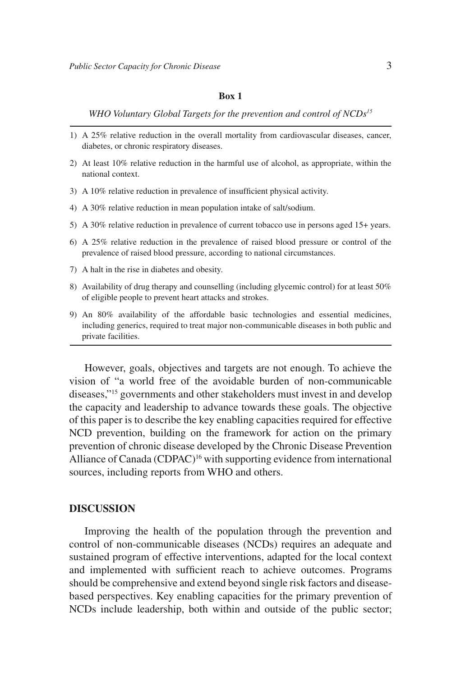#### **Box 1**

*WHO Voluntary Global Targets for the prevention and control of NCDs15*

- 1) A 25% relative reduction in the overall mortality from cardiovascular diseases, cancer, diabetes, or chronic respiratory diseases.
- 2) At least 10% relative reduction in the harmful use of alcohol, as appropriate, within the national context.
- 3) A 10% relative reduction in prevalence of insufficient physical activity.
- 4) A 30% relative reduction in mean population intake of salt/sodium.
- 5) A 30% relative reduction in prevalence of current tobacco use in persons aged 15+ years.
- 6) A 25% relative reduction in the prevalence of raised blood pressure or control of the prevalence of raised blood pressure, according to national circumstances.
- 7) A halt in the rise in diabetes and obesity.
- 8) Availability of drug therapy and counselling (including glycemic control) for at least 50% of eligible people to prevent heart attacks and strokes.
- 9) An 80% availability of the affordable basic technologies and essential medicines, including generics, required to treat major non-communicable diseases in both public and private facilities.

However, goals, objectives and targets are not enough. To achieve the vision of "a world free of the avoidable burden of non-communicable diseases,"15 governments and other stakeholders must invest in and develop the capacity and leadership to advance towards these goals. The objective of this paper is to describe the key enabling capacities required for effective NCD prevention, building on the framework for action on the primary prevention of chronic disease developed by the Chronic Disease Prevention Alliance of Canada (CDPAC)<sup>16</sup> with supporting evidence from international sources, including reports from WHO and others.

#### **DISCUSSION**

Improving the health of the population through the prevention and control of non-communicable diseases (NCDs) requires an adequate and sustained program of effective interventions, adapted for the local context and implemented with sufficient reach to achieve outcomes. Programs should be comprehensive and extend beyond single risk factors and diseasebased perspectives. Key enabling capacities for the primary prevention of NCDs include leadership, both within and outside of the public sector;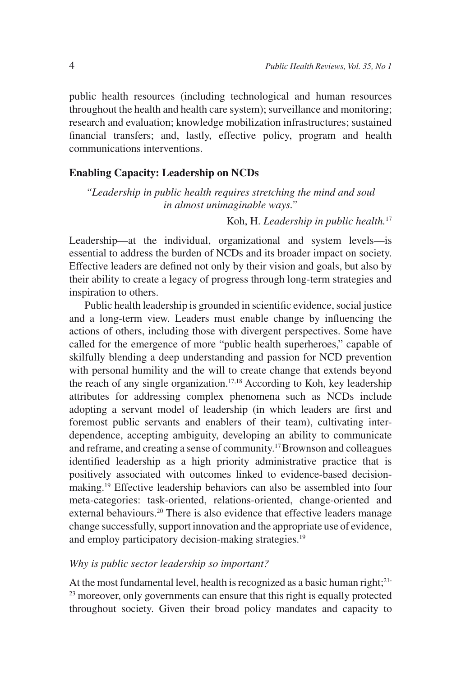public health resources (including technological and human resources throughout the health and health care system); surveillance and monitoring; research and evaluation; knowledge mobilization infrastructures; sustained financial transfers; and, lastly, effective policy, program and health communications interventions.

#### **Enabling Capacity: Leadership on NCDs**

*"Leadership in public health requires stretching the mind and soul in almost unimaginable ways."*

Koh, H. *Leadership in public health.*<sup>17</sup>

Leadership—at the individual, organizational and system levels—is essential to address the burden of NCDs and its broader impact on society. Effective leaders are defined not only by their vision and goals, but also by their ability to create a legacy of progress through long-term strategies and inspiration to others.

Public health leadership is grounded in scientific evidence, social justice and a long-term view. Leaders must enable change by influencing the actions of others, including those with divergent perspectives. Some have called for the emergence of more "public health superheroes," capable of skilfully blending a deep understanding and passion for NCD prevention with personal humility and the will to create change that extends beyond the reach of any single organization.<sup>17,18</sup> According to Koh, key leadership attributes for addressing complex phenomena such as NCDs include adopting a servant model of leadership (in which leaders are first and foremost public servants and enablers of their team), cultivating interdependence, accepting ambiguity, developing an ability to communicate and reframe, and creating a sense of community.17 Brownson and colleagues identified leadership as a high priority administrative practice that is positively associated with outcomes linked to evidence-based decisionmaking.19 Effective leadership behaviors can also be assembled into four meta-categories: task-oriented, relations-oriented, change-oriented and external behaviours.<sup>20</sup> There is also evidence that effective leaders manage change successfully, support innovation and the appropriate use of evidence, and employ participatory decision-making strategies.<sup>19</sup>

#### *Why is public sector leadership so important?*

At the most fundamental level, health is recognized as a basic human right;<sup>21-</sup>  $23$  moreover, only governments can ensure that this right is equally protected throughout society. Given their broad policy mandates and capacity to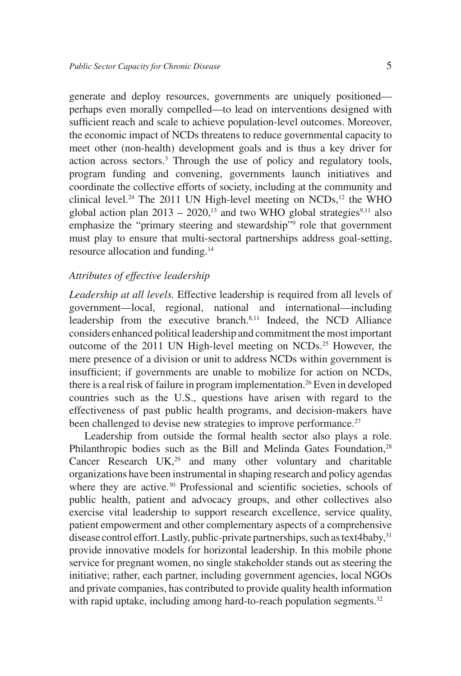generate and deploy resources, governments are uniquely positioned perhaps even morally compelled—to lead on interventions designed with sufficient reach and scale to achieve population-level outcomes. Moreover, the economic impact of NCDs threatens to reduce governmental capacity to meet other (non-health) development goals and is thus a key driver for action across sectors.3 Through the use of policy and regulatory tools, program funding and convening, governments launch initiatives and coordinate the collective efforts of society, including at the community and clinical level.<sup>24</sup> The 2011 UN High-level meeting on NCDs,<sup>12</sup> the WHO global action plan  $2013 - 2020$ ,<sup>13</sup> and two WHO global strategies<sup>9,11</sup> also emphasize the "primary steering and stewardship" role that government must play to ensure that multi-sectoral partnerships address goal-setting, resource allocation and funding.14

#### *Attributes of effective leadership*

*Leadership at all levels.* Effective leadership is required from all levels of government—local, regional, national and international—including leadership from the executive branch.<sup>8,11</sup> Indeed, the NCD Alliance considers enhanced political leadership and commitment the most important outcome of the 2011 UN High-level meeting on NCDs.25 However, the mere presence of a division or unit to address NCDs within government is insufficient; if governments are unable to mobilize for action on NCDs, there is a real risk of failure in program implementation.<sup>26</sup> Even in developed countries such as the U.S., questions have arisen with regard to the effectiveness of past public health programs, and decision-makers have been challenged to devise new strategies to improve performance.<sup>27</sup>

Leadership from outside the formal health sector also plays a role. Philanthropic bodies such as the Bill and Melinda Gates Foundation,<sup>28</sup> Cancer Research  $UK<sub>29</sub>$  and many other voluntary and charitable organizations have been instrumental in shaping research and policy agendas where they are active.<sup>30</sup> Professional and scientific societies, schools of public health, patient and advocacy groups, and other collectives also exercise vital leadership to support research excellence, service quality, patient empowerment and other complementary aspects of a comprehensive disease control effort. Lastly, public-private partnerships, such as text4baby,<sup>31</sup> provide innovative models for horizontal leadership. In this mobile phone service for pregnant women, no single stakeholder stands out as steering the initiative; rather, each partner, including government agencies, local NGOs and private companies, has contributed to provide quality health information with rapid uptake, including among hard-to-reach population segments.<sup>32</sup>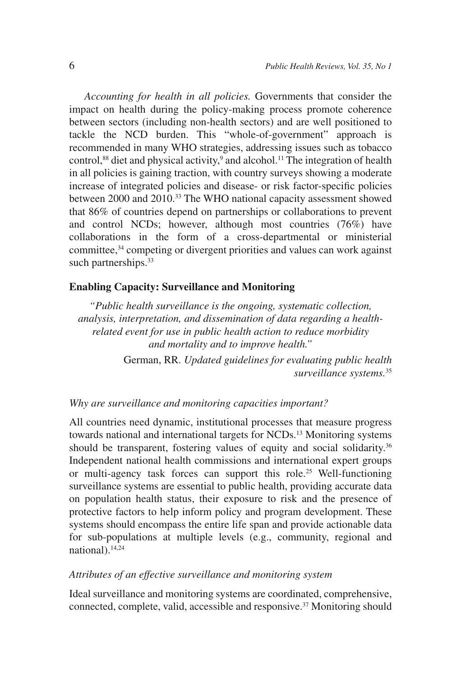*Accounting for health in all policies.* Governments that consider the impact on health during the policy-making process promote coherence between sectors (including non-health sectors) and are well positioned to tackle the NCD burden. This "whole-of-government" approach is recommended in many WHO strategies, addressing issues such as tobacco control,<sup>88</sup> diet and physical activity,<sup>9</sup> and alcohol.<sup>11</sup> The integration of health in all policies is gaining traction, with country surveys showing a moderate increase of integrated policies and disease- or risk factor-specific policies between 2000 and 2010.33 The WHO national capacity assessment showed that 86% of countries depend on partnerships or collaborations to prevent and control NCDs; however, although most countries (76%) have collaborations in the form of a cross-departmental or ministerial committee,<sup>34</sup> competing or divergent priorities and values can work against such partnerships.<sup>33</sup>

### **Enabling Capacity: Surveillance and Monitoring**

*"Public health surveillance is the ongoing, systematic collection, analysis, interpretation, and dissemination of data regarding a healthrelated event for use in public health action to reduce morbidity and mortality and to improve health."*

> German, RR. *Updated guidelines for evaluating public health surveillance systems.*<sup>35</sup>

### *Why are surveillance and monitoring capacities important?*

All countries need dynamic, institutional processes that measure progress towards national and international targets for NCDs.13 Monitoring systems should be transparent, fostering values of equity and social solidarity.<sup>36</sup> Independent national health commissions and international expert groups or multi-agency task forces can support this role.<sup>25</sup> Well-functioning surveillance systems are essential to public health, providing accurate data on population health status, their exposure to risk and the presence of protective factors to help inform policy and program development. These systems should encompass the entire life span and provide actionable data for sub-populations at multiple levels (e.g., community, regional and national).14,24

### *Attributes of an effective surveillance and monitoring system*

Ideal surveillance and monitoring systems are coordinated, comprehensive, connected, complete, valid, accessible and responsive.37 Monitoring should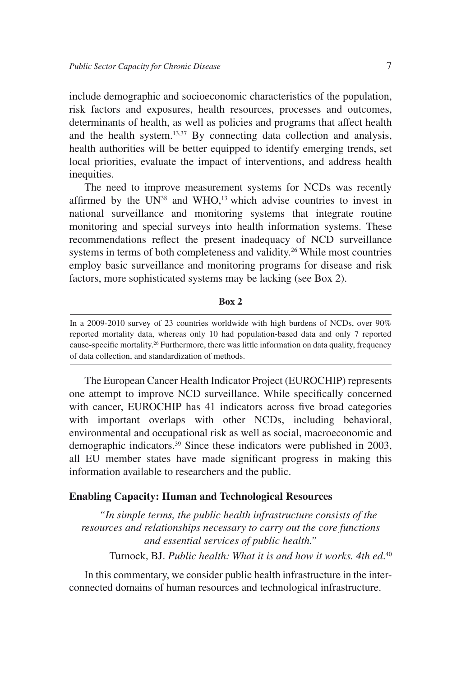include demographic and socioeconomic characteristics of the population, risk factors and exposures, health resources, processes and outcomes, determinants of health, as well as policies and programs that affect health and the health system.<sup>13,37</sup> By connecting data collection and analysis, health authorities will be better equipped to identify emerging trends, set local priorities, evaluate the impact of interventions, and address health inequities.

The need to improve measurement systems for NCDs was recently affirmed by the  $UN^{38}$  and WHO,<sup>13</sup> which advise countries to invest in national surveillance and monitoring systems that integrate routine monitoring and special surveys into health information systems. These recommendations reflect the present inadequacy of NCD surveillance systems in terms of both completeness and validity.<sup>26</sup> While most countries employ basic surveillance and monitoring programs for disease and risk factors, more sophisticated systems may be lacking (see Box 2).

**Box 2**

The European Cancer Health Indicator Project (EUROCHIP) represents one attempt to improve NCD surveillance. While specifically concerned with cancer, EUROCHIP has 41 indicators across five broad categories with important overlaps with other NCDs, including behavioral, environmental and occupational risk as well as social, macroeconomic and demographic indicators.39 Since these indicators were published in 2003, all EU member states have made significant progress in making this information available to researchers and the public.

#### **Enabling Capacity: Human and Technological Resources**

*"In simple terms, the public health infrastructure consists of the resources and relationships necessary to carry out the core functions and essential services of public health."*

Turnock, BJ. *Public health: What it is and how it works. 4th ed*. 40

In this commentary, we consider public health infrastructure in the interconnected domains of human resources and technological infrastructure.

In a 2009-2010 survey of 23 countries worldwide with high burdens of NCDs, over 90% reported mortality data, whereas only 10 had population-based data and only 7 reported cause-specific mortality.26 Furthermore, there was little information on data quality, frequency of data collection, and standardization of methods.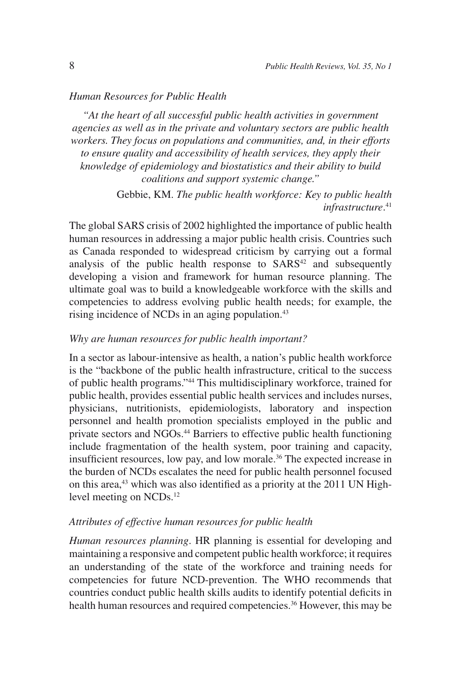#### *Human Resources for Public Health*

*"At the heart of all successful public health activities in government agencies as well as in the private and voluntary sectors are public health workers. They focus on populations and communities, and, in their efforts to ensure quality and accessibility of health services, they apply their knowledge of epidemiology and biostatistics and their ability to build coalitions and support systemic change."*

> Gebbie, KM. *The public health workforce: Key to public health infrastructure*. 41

The global SARS crisis of 2002 highlighted the importance of public health human resources in addressing a major public health crisis. Countries such as Canada responded to widespread criticism by carrying out a formal analysis of the public health response to  $SARS^{42}$  and subsequently developing a vision and framework for human resource planning. The ultimate goal was to build a knowledgeable workforce with the skills and competencies to address evolving public health needs; for example, the rising incidence of NCDs in an aging population.43

### *Why are human resources for public health important?*

In a sector as labour-intensive as health, a nation's public health workforce is the "backbone of the public health infrastructure, critical to the success of public health programs."44 This multidisciplinary workforce, trained for public health, provides essential public health services and includes nurses, physicians, nutritionists, epidemiologists, laboratory and inspection personnel and health promotion specialists employed in the public and private sectors and NGOs.44 Barriers to effective public health functioning include fragmentation of the health system, poor training and capacity, insufficient resources, low pay, and low morale.<sup>36</sup> The expected increase in the burden of NCDs escalates the need for public health personnel focused on this area,<sup>43</sup> which was also identified as a priority at the 2011 UN Highlevel meeting on NCDs.<sup>12</sup>

### *Attributes of effective human resources for public health*

*Human resources planning*. HR planning is essential for developing and maintaining a responsive and competent public health workforce; it requires an understanding of the state of the workforce and training needs for competencies for future NCD-prevention. The WHO recommends that countries conduct public health skills audits to identify potential deficits in health human resources and required competencies.<sup>36</sup> However, this may be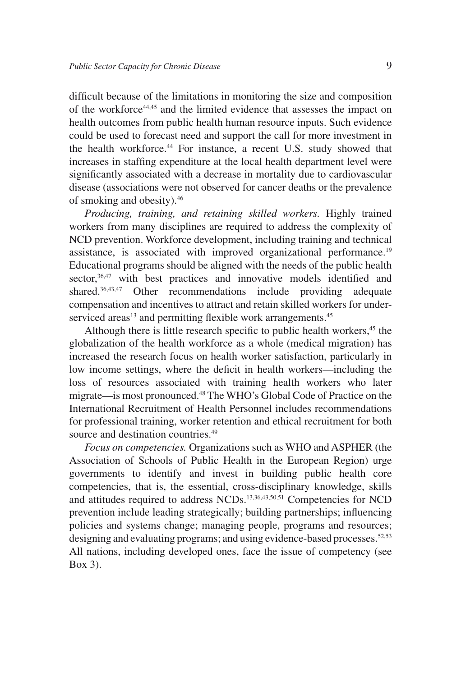difficult because of the limitations in monitoring the size and composition of the workforce44,45 and the limited evidence that assesses the impact on health outcomes from public health human resource inputs. Such evidence could be used to forecast need and support the call for more investment in the health workforce.<sup>44</sup> For instance, a recent U.S. study showed that increases in staffing expenditure at the local health department level were significantly associated with a decrease in mortality due to cardiovascular disease (associations were not observed for cancer deaths or the prevalence of smoking and obesity).46

*Producing, training, and retaining skilled workers.* Highly trained workers from many disciplines are required to address the complexity of NCD prevention. Workforce development, including training and technical assistance, is associated with improved organizational performance.<sup>19</sup> Educational programs should be aligned with the needs of the public health sector,<sup>36,47</sup> with best practices and innovative models identified and shared.<sup>36,43,47</sup> Other recommendations include providing adequate compensation and incentives to attract and retain skilled workers for underserviced areas<sup>13</sup> and permitting flexible work arrangements.<sup>45</sup>

Although there is little research specific to public health workers, $45$  the globalization of the health workforce as a whole (medical migration) has increased the research focus on health worker satisfaction, particularly in low income settings, where the deficit in health workers—including the loss of resources associated with training health workers who later migrate—is most pronounced.48 The WHO's Global Code of Practice on the International Recruitment of Health Personnel includes recommendations for professional training, worker retention and ethical recruitment for both source and destination countries.<sup>49</sup>

*Focus on competencies.* Organizations such as WHO and ASPHER (the Association of Schools of Public Health in the European Region) urge governments to identify and invest in building public health core competencies, that is, the essential, cross-disciplinary knowledge, skills and attitudes required to address NCDs.13,36,43,50,51 Competencies for NCD prevention include leading strategically; building partnerships; influencing policies and systems change; managing people, programs and resources; designing and evaluating programs; and using evidence-based processes.<sup>52,53</sup> All nations, including developed ones, face the issue of competency (see Box 3).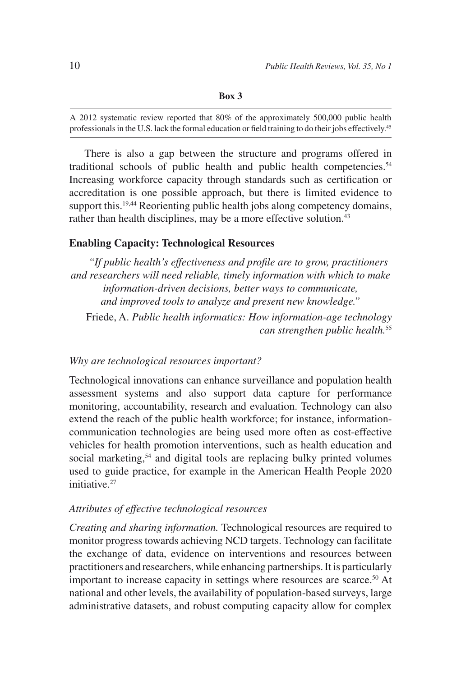A 2012 systematic review reported that 80% of the approximately 500,000 public health professionals in the U.S. lack the formal education or field training to do their jobs effectively.45

There is also a gap between the structure and programs offered in traditional schools of public health and public health competencies.<sup>54</sup> Increasing workforce capacity through standards such as certification or accreditation is one possible approach, but there is limited evidence to support this.<sup>19,44</sup> Reorienting public health jobs along competency domains, rather than health disciplines, may be a more effective solution.<sup>43</sup>

#### **Enabling Capacity: Technological Resources**

*"If public health's effectiveness and profile are to grow, practitioners and researchers will need reliable, timely information with which to make information-driven decisions, better ways to communicate, and improved tools to analyze and present new knowledge."*

Friede, A. *Public health informatics: How information-age technology can strengthen public health.*<sup>55</sup>

### *Why are technological resources important?*

Technological innovations can enhance surveillance and population health assessment systems and also support data capture for performance monitoring, accountability, research and evaluation. Technology can also extend the reach of the public health workforce; for instance, informationcommunication technologies are being used more often as cost-effective vehicles for health promotion interventions, such as health education and social marketing,<sup>54</sup> and digital tools are replacing bulky printed volumes used to guide practice, for example in the American Health People 2020 initiative.<sup>27</sup>

#### *Attributes of effective technological resources*

*Creating and sharing information.* Technological resources are required to monitor progress towards achieving NCD targets. Technology can facilitate the exchange of data, evidence on interventions and resources between practitioners and researchers, while enhancing partnerships. It is particularly important to increase capacity in settings where resources are scarce.<sup>50</sup> At national and other levels, the availability of population-based surveys, large administrative datasets, and robust computing capacity allow for complex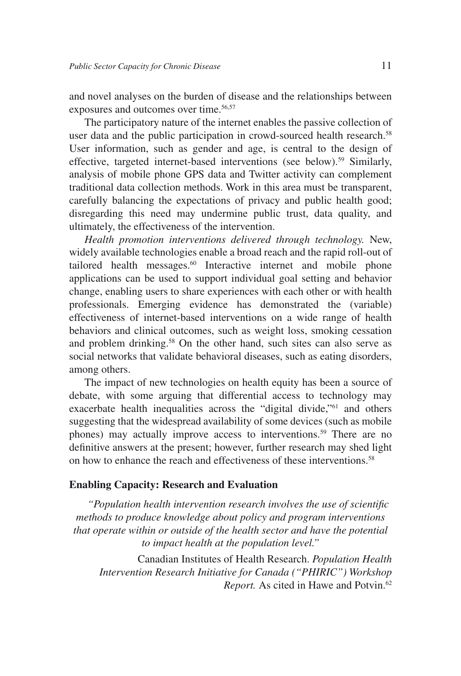and novel analyses on the burden of disease and the relationships between exposures and outcomes over time.<sup>56,57</sup>

The participatory nature of the internet enables the passive collection of user data and the public participation in crowd-sourced health research.<sup>58</sup> User information, such as gender and age, is central to the design of effective, targeted internet-based interventions (see below).<sup>59</sup> Similarly, analysis of mobile phone GPS data and Twitter activity can complement traditional data collection methods. Work in this area must be transparent, carefully balancing the expectations of privacy and public health good; disregarding this need may undermine public trust, data quality, and ultimately, the effectiveness of the intervention.

*Health promotion interventions delivered through technology.* New, widely available technologies enable a broad reach and the rapid roll-out of tailored health messages.<sup>60</sup> Interactive internet and mobile phone applications can be used to support individual goal setting and behavior change, enabling users to share experiences with each other or with health professionals. Emerging evidence has demonstrated the (variable) effectiveness of internet-based interventions on a wide range of health behaviors and clinical outcomes, such as weight loss, smoking cessation and problem drinking.<sup>58</sup> On the other hand, such sites can also serve as social networks that validate behavioral diseases, such as eating disorders, among others.

The impact of new technologies on health equity has been a source of debate, with some arguing that differential access to technology may exacerbate health inequalities across the "digital divide,"<sup>61</sup> and others suggesting that the widespread availability of some devices (such as mobile phones) may actually improve access to interventions.<sup>59</sup> There are no definitive answers at the present; however, further research may shed light on how to enhance the reach and effectiveness of these interventions.<sup>58</sup>

#### **Enabling Capacity: Research and Evaluation**

*"Population health intervention research involves the use of scientific methods to produce knowledge about policy and program interventions that operate within or outside of the health sector and have the potential to impact health at the population level."*

Canadian Institutes of Health Research. *Population Health Intervention Research Initiative for Canada ("PHIRIC") Workshop Report.* As cited in Hawe and Potvin.<sup>62</sup>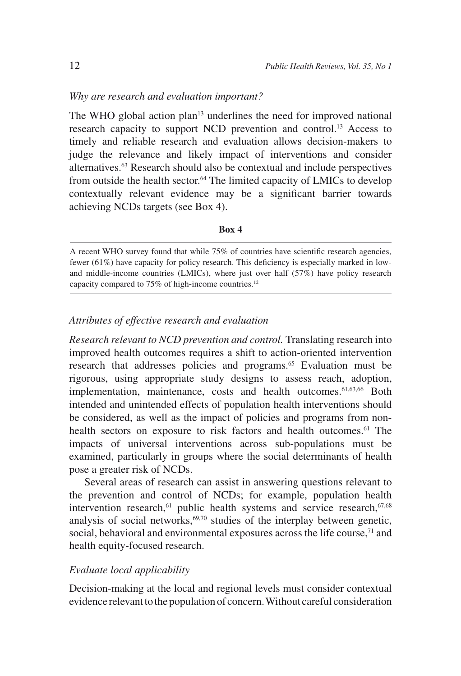### *Why are research and evaluation important?*

The WHO global action plan $13$  underlines the need for improved national research capacity to support NCD prevention and control.<sup>13</sup> Access to timely and reliable research and evaluation allows decision-makers to judge the relevance and likely impact of interventions and consider alternatives.63 Research should also be contextual and include perspectives from outside the health sector.<sup>64</sup> The limited capacity of LMICs to develop contextually relevant evidence may be a significant barrier towards achieving NCDs targets (see Box 4).

#### **Box 4**

A recent WHO survey found that while 75% of countries have scientific research agencies, fewer (61%) have capacity for policy research. This deficiency is especially marked in lowand middle-income countries (LMICs), where just over half (57%) have policy research capacity compared to 75% of high-income countries.<sup>12</sup>

#### *Attributes of effective research and evaluation*

*Research relevant to NCD prevention and control.* Translating research into improved health outcomes requires a shift to action-oriented intervention research that addresses policies and programs.<sup>65</sup> Evaluation must be rigorous, using appropriate study designs to assess reach, adoption, implementation, maintenance, costs and health outcomes.<sup>61,63,66</sup> Both intended and unintended effects of population health interventions should be considered, as well as the impact of policies and programs from nonhealth sectors on exposure to risk factors and health outcomes.<sup>61</sup> The impacts of universal interventions across sub-populations must be examined, particularly in groups where the social determinants of health pose a greater risk of NCDs.

Several areas of research can assist in answering questions relevant to the prevention and control of NCDs; for example, population health intervention research,<sup>61</sup> public health systems and service research,<sup>67,68</sup> analysis of social networks, $69,70$  studies of the interplay between genetic, social, behavioral and environmental exposures across the life course,  $71$  and health equity-focused research.

#### *Evaluate local applicability*

Decision-making at the local and regional levels must consider contextual evidence relevant to the population of concern. Without careful consideration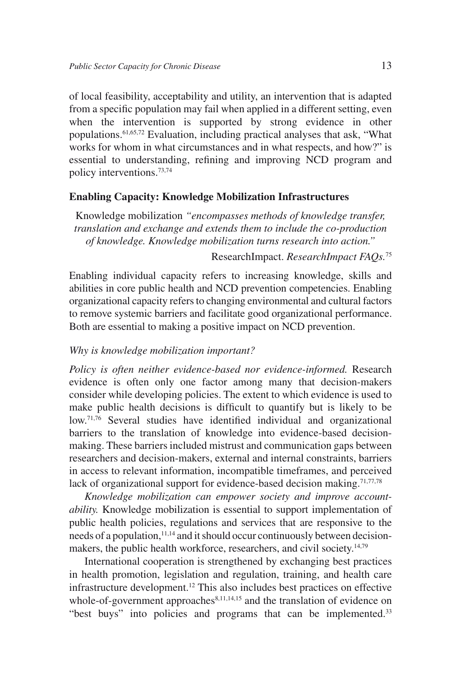of local feasibility, acceptability and utility, an intervention that is adapted from a specific population may fail when applied in a different setting, even when the intervention is supported by strong evidence in other populations.61,65,72 Evaluation, including practical analyses that ask, "What works for whom in what circumstances and in what respects, and how?" is essential to understanding, refining and improving NCD program and policy interventions.73,74

### **Enabling Capacity: Knowledge Mobilization Infrastructures**

Knowledge mobilization *"encompasses methods of knowledge transfer, translation and exchange and extends them to include the co-production of knowledge. Knowledge mobilization turns research into action."* 

## ResearchImpact. *ResearchImpact FAQs.*<sup>75</sup>

Enabling individual capacity refers to increasing knowledge, skills and abilities in core public health and NCD prevention competencies. Enabling organizational capacity refers to changing environmental and cultural factors to remove systemic barriers and facilitate good organizational performance. Both are essential to making a positive impact on NCD prevention.

#### *Why is knowledge mobilization important?*

*Policy is often neither evidence-based nor evidence-informed.* Research evidence is often only one factor among many that decision-makers consider while developing policies. The extent to which evidence is used to make public health decisions is difficult to quantify but is likely to be low.<sup>71,76</sup> Several studies have identified individual and organizational barriers to the translation of knowledge into evidence-based decisionmaking. These barriers included mistrust and communication gaps between researchers and decision-makers, external and internal constraints, barriers in access to relevant information, incompatible timeframes, and perceived lack of organizational support for evidence-based decision making.<sup>71,77,78</sup>

*Knowledge mobilization can empower society and improve accountability.* Knowledge mobilization is essential to support implementation of public health policies, regulations and services that are responsive to the needs of a population,  $11,14$  and it should occur continuously between decisionmakers, the public health workforce, researchers, and civil society.<sup>14,79</sup>

International cooperation is strengthened by exchanging best practices in health promotion, legislation and regulation, training, and health care infrastructure development.12 This also includes best practices on effective whole-of-government approaches $8,11,14,15$  and the translation of evidence on "best buys" into policies and programs that can be implemented.<sup>33</sup>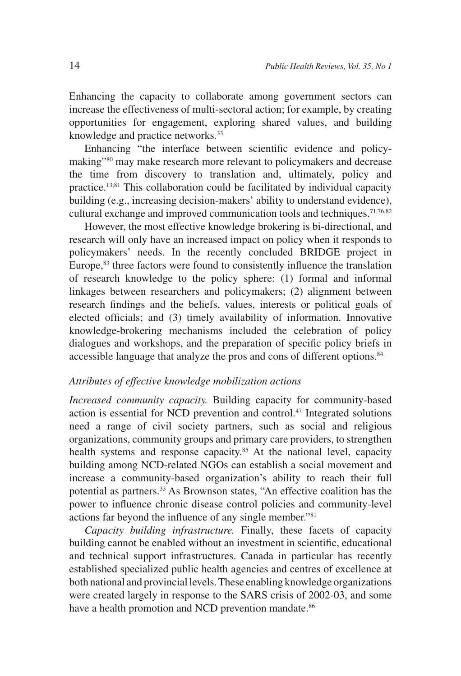Enhancing the capacity to collaborate among government sectors can increase the effectiveness of multi-sectoral action; for example, by creating opportunities for engagement, exploring shared values, and building knowledge and practice networks.<sup>33</sup>

Enhancing "the interface between scientific evidence and policymaking"80 may make research more relevant to policymakers and decrease the time from discovery to translation and, ultimately, policy and practice.13,81 This collaboration could be facilitated by individual capacity building (e.g., increasing decision-makers' ability to understand evidence), cultural exchange and improved communication tools and techniques.<sup>71,76,82</sup>

However, the most effective knowledge brokering is bi-directional, and research will only have an increased impact on policy when it responds to policymakers' needs. In the recently concluded BRIDGE project in Europe,<sup>83</sup> three factors were found to consistently influence the translation of research knowledge to the policy sphere: (1) formal and informal linkages between researchers and policymakers; (2) alignment between research findings and the beliefs, values, interests or political goals of elected officials; and (3) timely availability of information. Innovative knowledge-brokering mechanisms included the celebration of policy dialogues and workshops, and the preparation of specific policy briefs in accessible language that analyze the pros and cons of different options.<sup>84</sup>

### *Attributes of effective knowledge mobilization actions*

*Increased community capacity.* Building capacity for community-based action is essential for NCD prevention and control.47 Integrated solutions need a range of civil society partners, such as social and religious organizations, community groups and primary care providers, to strengthen health systems and response capacity.<sup>85</sup> At the national level, capacity building among NCD-related NGOs can establish a social movement and increase a community-based organization's ability to reach their full potential as partners.33 As Brownson states, "An effective coalition has the power to influence chronic disease control policies and community-level actions far beyond the influence of any single member."81

*Capacity building infrastructure.* Finally, these facets of capacity building cannot be enabled without an investment in scientific, educational and technical support infrastructures. Canada in particular has recently established specialized public health agencies and centres of excellence at both national and provincial levels. These enabling knowledge organizations were created largely in response to the SARS crisis of 2002-03, and some have a health promotion and NCD prevention mandate.<sup>86</sup>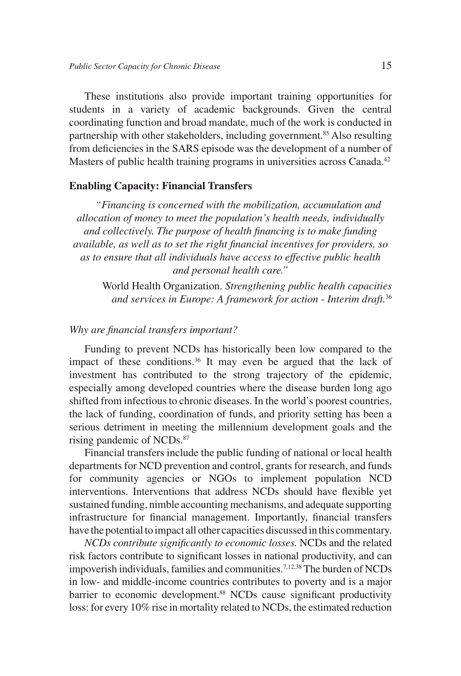These institutions also provide important training opportunities for students in a variety of academic backgrounds. Given the central coordinating function and broad mandate, much of the work is conducted in partnership with other stakeholders, including government.<sup>85</sup> Also resulting from deficiencies in the SARS episode was the development of a number of Masters of public health training programs in universities across Canada.<sup>42</sup>

#### **Enabling Capacity: Financial Transfers**

*"Financing is concerned with the mobilization, accumulation and allocation of money to meet the population's health needs, individually and collectively. The purpose of health financing is to make funding available, as well as to set the right financial incentives for providers, so as to ensure that all individuals have access to effective public health and personal health care."*

World Health Organization. *Strengthening public health capacities and services in Europe: A framework for action - Interim draft.*<sup>36</sup>

#### *Why are financial transfers important?*

Funding to prevent NCDs has historically been low compared to the impact of these conditions.<sup>36</sup> It may even be argued that the lack of investment has contributed to the strong trajectory of the epidemic, especially among developed countries where the disease burden long ago shifted from infectious to chronic diseases. In the world's poorest countries, the lack of funding, coordination of funds, and priority setting has been a serious detriment in meeting the millennium development goals and the rising pandemic of NCDs.<sup>87</sup>

Financial transfers include the public funding of national or local health departments for NCD prevention and control, grants for research, and funds for community agencies or NGOs to implement population NCD interventions. Interventions that address NCDs should have flexible yet sustained funding, nimble accounting mechanisms, and adequate supporting infrastructure for financial management. Importantly, financial transfers have the potential to impact all other capacities discussed in this commentary.

*NCDs contribute significantly to economic losses.* NCDs and the related risk factors contribute to significant losses in national productivity, and can impoverish individuals, families and communities.<sup>7,12,38</sup> The burden of NCDs in low- and middle-income countries contributes to poverty and is a major barrier to economic development.<sup>88</sup> NCDs cause significant productivity loss: for every 10% rise in mortality related to NCDs, the estimated reduction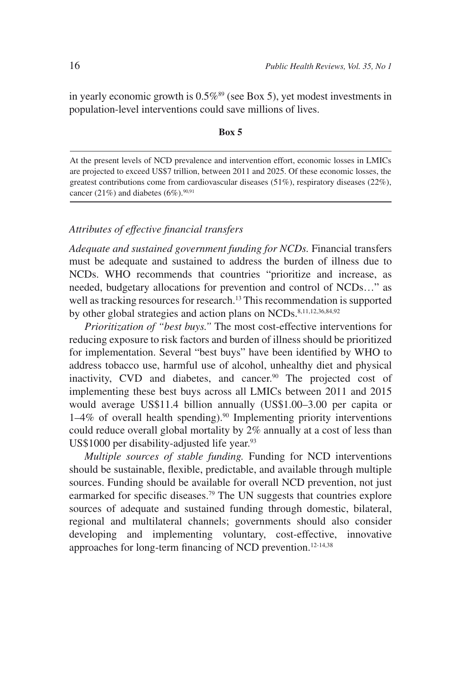in yearly economic growth is  $0.5\%$ <sup>89</sup> (see Box 5), yet modest investments in population-level interventions could save millions of lives.

#### **Box 5**

At the present levels of NCD prevalence and intervention effort, economic losses in LMICs are projected to exceed US\$7 trillion, between 2011 and 2025. Of these economic losses, the greatest contributions come from cardiovascular diseases (51%), respiratory diseases (22%), cancer (21%) and diabetes (6%). $90,91$ 

# *Attributes of effective financial transfers*

*Adequate and sustained government funding for NCDs.* Financial transfers must be adequate and sustained to address the burden of illness due to NCDs. WHO recommends that countries "prioritize and increase, as needed, budgetary allocations for prevention and control of NCDs…" as well as tracking resources for research.<sup>13</sup> This recommendation is supported by other global strategies and action plans on NCDs. $8,11,12,36,84,92$ 

*Prioritization of "best buys."* The most cost-effective interventions for reducing exposure to risk factors and burden of illness should be prioritized for implementation. Several "best buys" have been identified by WHO to address tobacco use, harmful use of alcohol, unhealthy diet and physical inactivity, CVD and diabetes, and cancer.<sup>90</sup> The projected cost of implementing these best buys across all LMICs between 2011 and 2015 would average US\$11.4 billion annually (US\$1.00–3.00 per capita or  $1-4\%$  of overall health spending).<sup>90</sup> Implementing priority interventions could reduce overall global mortality by 2% annually at a cost of less than US\$1000 per disability-adjusted life year.<sup>93</sup>

*Multiple sources of stable funding.* Funding for NCD interventions should be sustainable, flexible, predictable, and available through multiple sources. Funding should be available for overall NCD prevention, not just earmarked for specific diseases.<sup>79</sup> The UN suggests that countries explore sources of adequate and sustained funding through domestic, bilateral, regional and multilateral channels; governments should also consider developing and implementing voluntary, cost-effective, innovative approaches for long-term financing of NCD prevention.<sup>12-14,38</sup>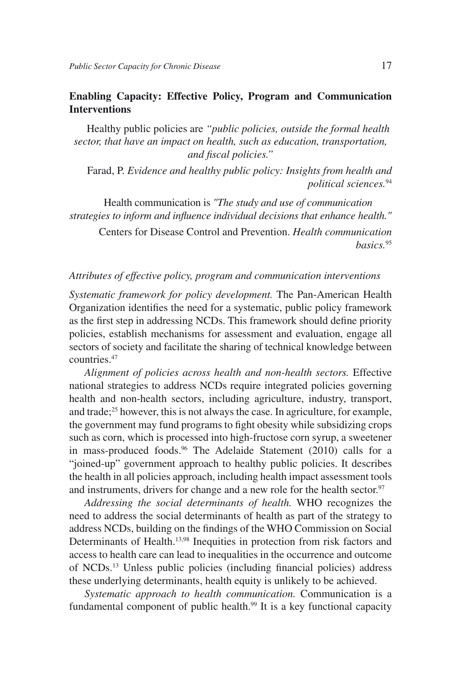# **Enabling Capacity: Effective Policy, Program and Communication Interventions**

Healthy public policies are *"public policies, outside the formal health sector, that have an impact on health, such as education, transportation, and fiscal policies."*

Farad, P. *Evidence and healthy public policy: Insights from health and political sciences.*<sup>94</sup>

Health communication is *"The study and use of communication strategies to inform and influence individual decisions that enhance health."*

Centers for Disease Control and Prevention. *Health communication basics.*<sup>95</sup>

#### *Attributes of effective policy, program and communication interventions*

*Systematic framework for policy development.* The Pan-American Health Organization identifies the need for a systematic, public policy framework as the first step in addressing NCDs. This framework should define priority policies, establish mechanisms for assessment and evaluation, engage all sectors of society and facilitate the sharing of technical knowledge between countries.47

*Alignment of policies across health and non-health sectors.* Effective national strategies to address NCDs require integrated policies governing health and non-health sectors, including agriculture, industry, transport, and trade;<sup>25</sup> however, this is not always the case. In agriculture, for example, the government may fund programs to fight obesity while subsidizing crops such as corn, which is processed into high-fructose corn syrup, a sweetener in mass-produced foods.<sup>96</sup> The Adelaide Statement (2010) calls for a "joined-up" government approach to healthy public policies. It describes the health in all policies approach, including health impact assessment tools and instruments, drivers for change and a new role for the health sector.<sup>97</sup>

*Addressing the social determinants of health.* WHO recognizes the need to address the social determinants of health as part of the strategy to address NCDs, building on the findings of the WHO Commission on Social Determinants of Health.<sup>13,98</sup> Inequities in protection from risk factors and access to health care can lead to inequalities in the occurrence and outcome of NCDs.13 Unless public policies (including financial policies) address these underlying determinants, health equity is unlikely to be achieved.

*Systematic approach to health communication.* Communication is a fundamental component of public health.<sup>99</sup> It is a key functional capacity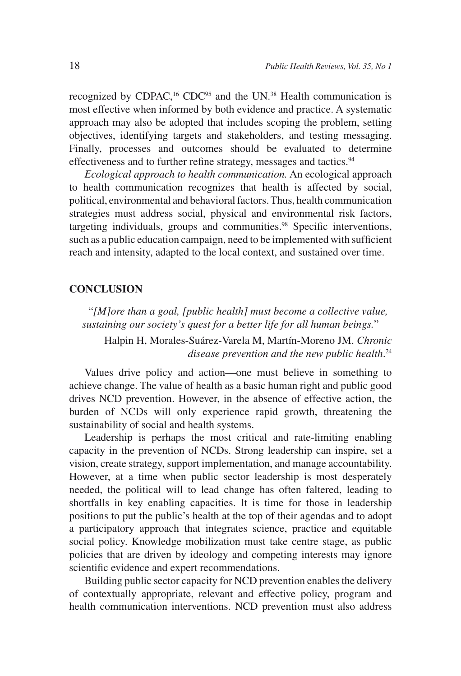recognized by CDPAC,<sup>16</sup> CDC<sup>95</sup> and the UN.<sup>38</sup> Health communication is most effective when informed by both evidence and practice. A systematic approach may also be adopted that includes scoping the problem, setting objectives, identifying targets and stakeholders, and testing messaging. Finally, processes and outcomes should be evaluated to determine effectiveness and to further refine strategy, messages and tactics.<sup>94</sup>

*Ecological approach to health communication.* An ecological approach to health communication recognizes that health is affected by social, political, environmental and behavioral factors. Thus, health communication strategies must address social, physical and environmental risk factors, targeting individuals, groups and communities.<sup>98</sup> Specific interventions, such as a public education campaign, need to be implemented with sufficient reach and intensity, adapted to the local context, and sustained over time.

### **CONCLUSION**

"*[M]ore than a goal, [public health] must become a collective value, sustaining our society's quest for a better life for all human beings.*" Halpin H, Morales-Suárez-Varela M, Martín-Moreno JM. *Chronic disease prevention and the new public health*. 24

Values drive policy and action—one must believe in something to achieve change. The value of health as a basic human right and public good drives NCD prevention. However, in the absence of effective action, the burden of NCDs will only experience rapid growth, threatening the sustainability of social and health systems.

Leadership is perhaps the most critical and rate-limiting enabling capacity in the prevention of NCDs. Strong leadership can inspire, set a vision, create strategy, support implementation, and manage accountability. However, at a time when public sector leadership is most desperately needed, the political will to lead change has often faltered, leading to shortfalls in key enabling capacities. It is time for those in leadership positions to put the public's health at the top of their agendas and to adopt a participatory approach that integrates science, practice and equitable social policy. Knowledge mobilization must take centre stage, as public policies that are driven by ideology and competing interests may ignore scientific evidence and expert recommendations.

Building public sector capacity for NCD prevention enables the delivery of contextually appropriate, relevant and effective policy, program and health communication interventions. NCD prevention must also address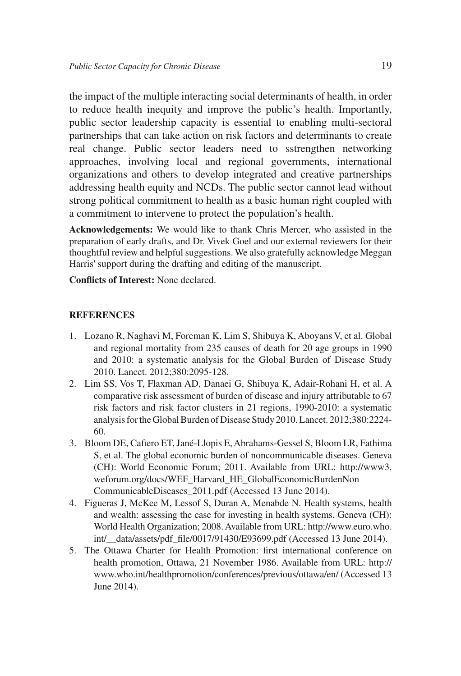the impact of the multiple interacting social determinants of health, in order to reduce health inequity and improve the public's health. Importantly, public sector leadership capacity is essential to enabling multi-sectoral partnerships that can take action on risk factors and determinants to create real change. Public sector leaders need to sstrengthen networking approaches, involving local and regional governments, international organizations and others to develop integrated and creative partnerships addressing health equity and NCDs. The public sector cannot lead without strong political commitment to health as a basic human right coupled with a commitment to intervene to protect the population's health.

**Acknowledgements:** We would like to thank Chris Mercer, who assisted in the preparation of early drafts, and Dr. Vivek Goel and our external reviewers for their thoughtful review and helpful suggestions. We also gratefully acknowledge Meggan Harris' support during the drafting and editing of the manuscript.

**Conflicts of Interest:** None declared.

#### **REFERENCES**

- 1. Lozano R, Naghavi M, Foreman K, Lim S, Shibuya K, Aboyans V, et al. Global and regional mortality from 235 causes of death for 20 age groups in 1990 and 2010: a systematic analysis for the Global Burden of Disease Study 2010. Lancet. 2012;380:2095-128.
- 2. Lim SS, Vos T, Flaxman AD, Danaei G, Shibuya K, Adair-Rohani H, et al. A comparative risk assessment of burden of disease and injury attributable to 67 risk factors and risk factor clusters in 21 regions, 1990-2010: a systematic analysis for the Global Burden of Disease Study 2010. Lancet. 2012;380:2224- 60.
- 3. Bloom DE, Cafiero ET, Jané-Llopis E, Abrahams-Gessel S, Bloom LR, Fathima S, et al. The global economic burden of noncommunicable diseases. Geneva (CH): World Economic Forum; 2011. Available from URL: http://www3. weforum.org/docs/WEF\_Harvard\_HE\_GlobalEconomicBurdenNon CommunicableDiseases\_2011.pdf (Accessed 13 June 2014).
- 4. Figueras J, McKee M, Lessof S, Duran A, Menabde N. Health systems, health and wealth: assessing the case for investing in health systems. Geneva (CH): World Health Organization; 2008. Available from URL: http://www.euro.who. int/\_\_data/assets/pdf\_file/0017/91430/E93699.pdf (Accessed 13 June 2014).
- 5. The Ottawa Charter for Health Promotion: first international conference on health promotion, Ottawa, 21 November 1986. Available from URL: http:// www.who.int/healthpromotion/conferences/previous/ottawa/en/ (Accessed 13 June 2014).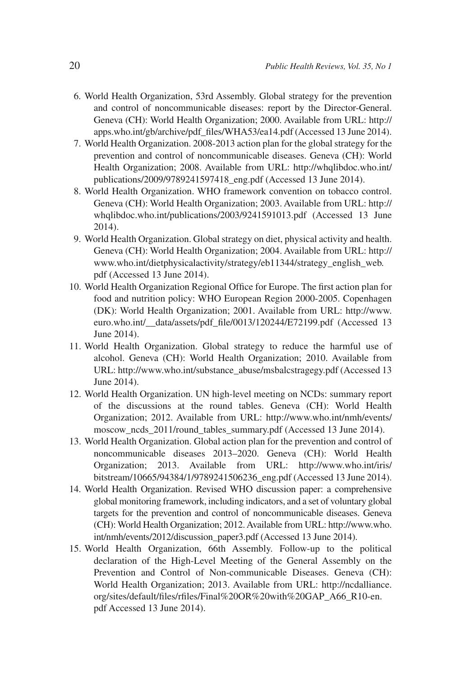- 6. World Health Organization, 53rd Assembly. Global strategy for the prevention and control of noncommunicable diseases: report by the Director-General. Geneva (CH): World Health Organization; 2000. Available from URL: http:// apps.who.int/gb/archive/pdf\_files/WHA53/ea14.pdf (Accessed 13 June 2014).
- 7. World Health Organization. 2008-2013 action plan for the global strategy for the prevention and control of noncommunicable diseases. Geneva (CH): World Health Organization; 2008. Available from URL: http://whqlibdoc.who.int/ publications/2009/9789241597418\_eng.pdf (Accessed 13 June 2014).
- 8. World Health Organization. WHO framework convention on tobacco control. Geneva (CH): World Health Organization; 2003. Available from URL: http:// whqlibdoc.who.int/publications/2003/9241591013.pdf (Accessed 13 June 2014).
- 9. World Health Organization. Global strategy on diet, physical activity and health. Geneva (CH): World Health Organization; 2004. Available from URL: http:// www.who.int/dietphysicalactivity/strategy/eb11344/strategy\_english\_web. pdf (Accessed 13 June 2014).
- 10. World Health Organization Regional Office for Europe. The first action plan for food and nutrition policy: WHO European Region 2000-2005. Copenhagen (DK): World Health Organization; 2001. Available from URL: http://www. euro.who.int/\_\_data/assets/pdf\_file/0013/120244/E72199.pdf (Accessed 13 June 2014).
- 11. World Health Organization. Global strategy to reduce the harmful use of alcohol. Geneva (CH): World Health Organization; 2010. Available from URL: http://www.who.int/substance\_abuse/msbalcstragegy.pdf (Accessed 13 June 2014).
- 12. World Health Organization. UN high-level meeting on NCDs: summary report of the discussions at the round tables. Geneva (CH): World Health Organization; 2012. Available from URL: http://www.who.int/nmh/events/ moscow\_ncds\_2011/round\_tables\_summary.pdf (Accessed 13 June 2014).
- 13. World Health Organization. Global action plan for the prevention and control of noncommunicable diseases 2013–2020. Geneva (CH): World Health Organization; 2013. Available from URL: http://www.who.int/iris/ bitstream/10665/94384/1/9789241506236\_eng.pdf (Accessed 13 June 2014).
- 14. World Health Organization. Revised WHO discussion paper: a comprehensive global monitoring framework, including indicators, and a set of voluntary global targets for the prevention and control of noncommunicable diseases. Geneva (CH): World Health Organization; 2012. Available from URL: http://www.who. int/nmh/events/2012/discussion\_paper3.pdf (Accessed 13 June 2014).
- 15. World Health Organization, 66th Assembly. Follow-up to the political declaration of the High-Level Meeting of the General Assembly on the Prevention and Control of Non-communicable Diseases. Geneva (CH): World Health Organization; 2013. Available from URL: http://ncdalliance. org/sites/default/files/rfiles/Final%20OR%20with%20GAP\_A66\_R10-en. pdf Accessed 13 June 2014).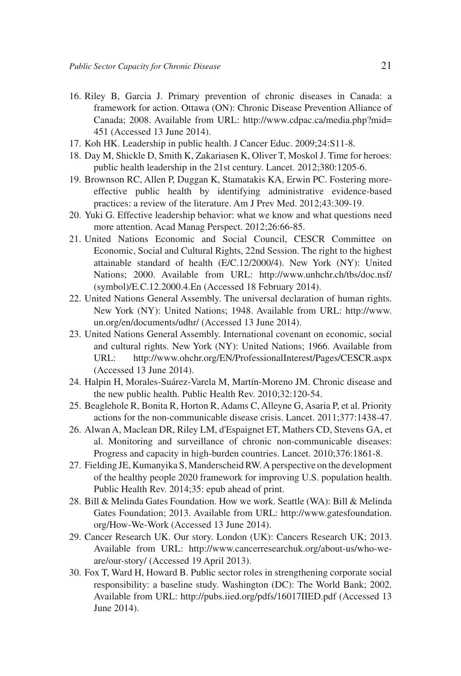- 16. Riley B, Garcia J. Primary prevention of chronic diseases in Canada: a framework for action. Ottawa (ON): Chronic Disease Prevention Alliance of Canada; 2008. Available from URL: http://www.cdpac.ca/media.php?mid= 451 (Accessed 13 June 2014).
- 17. Koh HK. Leadership in public health. J Cancer Educ. 2009;24:S11-8.
- 18. Day M, Shickle D, Smith K, Zakariasen K, Oliver T, Moskol J. Time for heroes: public health leadership in the 21st century. Lancet. 2012;380:1205-6.
- 19. Brownson RC, Allen P, Duggan K, Stamatakis KA, Erwin PC. Fostering moreeffective public health by identifying administrative evidence-based practices: a review of the literature. Am J Prev Med. 2012;43:309-19.
- 20. Yuki G. Effective leadership behavior: what we know and what questions need more attention. Acad Manag Perspect. 2012;26:66-85.
- 21. United Nations Economic and Social Council, CESCR Committee on Economic, Social and Cultural Rights, 22nd Session. The right to the highest attainable standard of health (E/C.12/2000/4). New York (NY): United Nations; 2000. Available from URL: http://www.unhchr.ch/tbs/doc.nsf/ (symbol)/E.C.12.2000.4.En (Accessed 18 February 2014).
- 22. United Nations General Assembly. The universal declaration of human rights. New York (NY): United Nations; 1948. Available from URL: http://www. un.org/en/documents/udhr/ (Accessed 13 June 2014).
- 23. United Nations General Assembly. International covenant on economic, social and cultural rights. New York (NY): United Nations; 1966. Available from URL: http://www.ohchr.org/EN/ProfessionalInterest/Pages/CESCR.aspx (Accessed 13 June 2014).
- 24. Halpin H, Morales-Suárez-Varela M, Martín-Moreno JM. Chronic disease and the new public health. Public Health Rev. 2010;32:120-54.
- 25. Beaglehole R, Bonita R, Horton R, Adams C, Alleyne G, Asaria P, et al. Priority actions for the non-communicable disease crisis. Lancet. 2011;377:1438-47.
- 26. Alwan A, Maclean DR, Riley LM, d'Espaignet ET, Mathers CD, Stevens GA, et al. Monitoring and surveillance of chronic non-communicable diseases: Progress and capacity in high-burden countries. Lancet. 2010;376:1861-8.
- 27. Fielding JE, Kumanyika S, Manderscheid RW. A perspective on the development of the healthy people 2020 framework for improving U.S. population health. Public Health Rev. 2014;35: epub ahead of print.
- 28. Bill & Melinda Gates Foundation. How we work. Seattle (WA): Bill & Melinda Gates Foundation; 2013. Available from URL: http://www.gatesfoundation. org/How-We-Work (Accessed 13 June 2014).
- 29. Cancer Research UK. Our story. London (UK): Cancers Research UK; 2013. Available from URL: http://www.cancerresearchuk.org/about-us/who-weare/our-story/ (Accessed 19 April 2013).
- 30. Fox T, Ward H, Howard B. Public sector roles in strengthening corporate social responsibility: a baseline study. Washington (DC): The World Bank; 2002. Available from URL: http://pubs.iied.org/pdfs/16017IIED.pdf (Accessed 13 June 2014).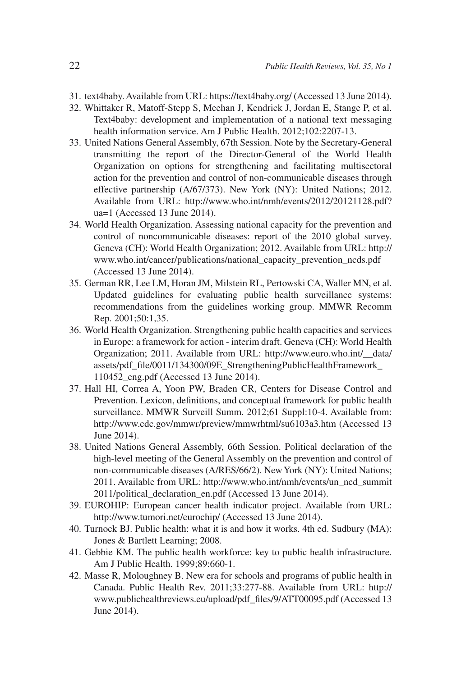- 31. text4baby. Available from URL: https://text4baby.org/ (Accessed 13 June 2014).
- 32. Whittaker R, Matoff-Stepp S, Meehan J, Kendrick J, Jordan E, Stange P, et al. Text4baby: development and implementation of a national text messaging health information service. Am J Public Health. 2012;102:2207-13.
- 33. United Nations General Assembly, 67th Session. Note by the Secretary-General transmitting the report of the Director-General of the World Health Organization on options for strengthening and facilitating multisectoral action for the prevention and control of non-communicable diseases through effective partnership (A/67/373). New York (NY): United Nations; 2012. Available from URL: http://www.who.int/nmh/events/2012/20121128.pdf? ua=1 (Accessed 13 June 2014).
- 34. World Health Organization. Assessing national capacity for the prevention and control of noncommunicable diseases: report of the 2010 global survey. Geneva (CH): World Health Organization; 2012. Available from URL: http:// www.who.int/cancer/publications/national\_capacity\_prevention\_ncds.pdf (Accessed 13 June 2014).
- 35. German RR, Lee LM, Horan JM, Milstein RL, Pertowski CA, Waller MN, et al. Updated guidelines for evaluating public health surveillance systems: recommendations from the guidelines working group. MMWR Recomm Rep. 2001;50:1,35.
- 36. World Health Organization. Strengthening public health capacities and services in Europe: a framework for action - interim draft. Geneva (CH): World Health Organization; 2011. Available from URL: http://www.euro.who.int/\_\_data/ assets/pdf\_file/0011/134300/09E\_StrengtheningPublicHealthFramework\_ 110452\_eng.pdf (Accessed 13 June 2014).
- 37. Hall HI, Correa A, Yoon PW, Braden CR, Centers for Disease Control and Prevention. Lexicon, definitions, and conceptual framework for public health surveillance. MMWR Surveill Summ. 2012;61 Suppl:10-4. Available from: http://www.cdc.gov/mmwr/preview/mmwrhtml/su6103a3.htm (Accessed 13 June 2014).
- 38. United Nations General Assembly, 66th Session. Political declaration of the high-level meeting of the General Assembly on the prevention and control of non-communicable diseases (A/RES/66/2). New York (NY): United Nations; 2011. Available from URL: http://www.who.int/nmh/events/un\_ncd\_summit 2011/political\_declaration\_en.pdf (Accessed 13 June 2014).
- 39. EUROHIP: European cancer health indicator project. Available from URL: http://www.tumori.net/eurochip/ (Accessed 13 June 2014).
- 40. Turnock BJ. Public health: what it is and how it works. 4th ed. Sudbury (MA): Jones & Bartlett Learning; 2008.
- 41. Gebbie KM. The public health workforce: key to public health infrastructure. Am J Public Health. 1999;89:660-1.
- 42. Masse R, Moloughney B. New era for schools and programs of public health in Canada. Public Health Rev. 2011;33:277-88. Available from URL: http:// www.publichealthreviews.eu/upload/pdf\_files/9/ATT00095.pdf (Accessed 13 June 2014).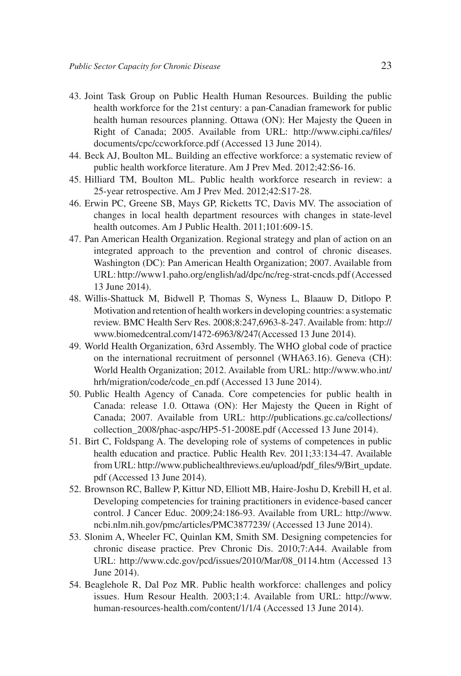- 43. Joint Task Group on Public Health Human Resources. Building the public health workforce for the 21st century: a pan-Canadian framework for public health human resources planning. Ottawa (ON): Her Majesty the Queen in Right of Canada; 2005. Available from URL: http://www.ciphi.ca/files/ documents/cpc/ccworkforce.pdf (Accessed 13 June 2014).
- 44. Beck AJ, Boulton ML. Building an effective workforce: a systematic review of public health workforce literature. Am J Prev Med. 2012;42:S6-16.
- 45. Hilliard TM, Boulton ML. Public health workforce research in review: a 25-year retrospective. Am J Prev Med. 2012;42:S17-28.
- 46. Erwin PC, Greene SB, Mays GP, Ricketts TC, Davis MV. The association of changes in local health department resources with changes in state-level health outcomes. Am J Public Health. 2011;101:609-15.
- 47. Pan American Health Organization. Regional strategy and plan of action on an integrated approach to the prevention and control of chronic diseases. Washington (DC): Pan American Health Organization; 2007. Available from URL: http://www1.paho.org/english/ad/dpc/nc/reg-strat-cncds.pdf (Accessed 13 June 2014).
- 48. Willis-Shattuck M, Bidwell P, Thomas S, Wyness L, Blaauw D, Ditlopo P. Motivation and retention of health workers in developing countries: a systematic review. BMC Health Serv Res. 2008;8:247,6963-8-247. Available from: http:// www.biomedcentral.com/1472-6963/8/247(Accessed 13 June 2014).
- 49. World Health Organization, 63rd Assembly. The WHO global code of practice on the international recruitment of personnel (WHA63.16). Geneva (CH): World Health Organization; 2012. Available from URL: http://www.who.int/ hrh/migration/code/code\_en.pdf (Accessed 13 June 2014).
- 50. Public Health Agency of Canada. Core competencies for public health in Canada: release 1.0. Ottawa (ON): Her Majesty the Queen in Right of Canada; 2007. Available from URL: http://publications.gc.ca/collections/ collection\_2008/phac-aspc/HP5-51-2008E.pdf (Accessed 13 June 2014).
- 51. Birt C, Foldspang A. The developing role of systems of competences in public health education and practice. Public Health Rev. 2011;33:134-47. Available from URL: http://www.publichealthreviews.eu/upload/pdf\_files/9/Birt\_update. pdf (Accessed 13 June 2014).
- 52. Brownson RC, Ballew P, Kittur ND, Elliott MB, Haire-Joshu D, Krebill H, et al. Developing competencies for training practitioners in evidence-based cancer control. J Cancer Educ. 2009;24:186-93. Available from URL: http://www. ncbi.nlm.nih.gov/pmc/articles/PMC3877239/ (Accessed 13 June 2014).
- 53. Slonim A, Wheeler FC, Quinlan KM, Smith SM. Designing competencies for chronic disease practice. Prev Chronic Dis. 2010;7:A44. Available from URL: http://www.cdc.gov/pcd/issues/2010/Mar/08\_0114.htm (Accessed 13 June 2014).
- 54. Beaglehole R, Dal Poz MR. Public health workforce: challenges and policy issues. Hum Resour Health. 2003;1:4. Available from URL: http://www. human-resources-health.com/content/1/1/4 (Accessed 13 June 2014).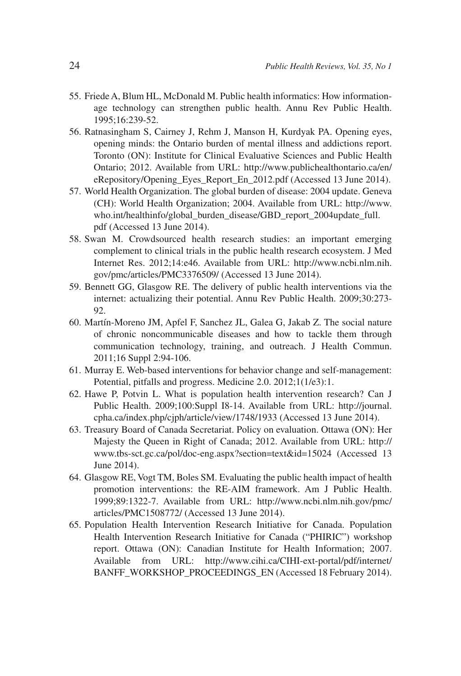- 55. Friede A, Blum HL, McDonald M. Public health informatics: How informationage technology can strengthen public health. Annu Rev Public Health. 1995;16:239-52.
- 56. Ratnasingham S, Cairney J, Rehm J, Manson H, Kurdyak PA. Opening eyes, opening minds: the Ontario burden of mental illness and addictions report. Toronto (ON): Institute for Clinical Evaluative Sciences and Public Health Ontario; 2012. Available from URL: http://www.publichealthontario.ca/en/ eRepository/Opening\_Eyes\_Report\_En\_2012.pdf (Accessed 13 June 2014).
- 57. World Health Organization. The global burden of disease: 2004 update. Geneva (CH): World Health Organization; 2004. Available from URL: http://www. who.int/healthinfo/global\_burden\_disease/GBD\_report\_2004update\_full. pdf (Accessed 13 June 2014).
- 58. Swan M. Crowdsourced health research studies: an important emerging complement to clinical trials in the public health research ecosystem. J Med Internet Res. 2012;14:e46. Available from URL: http://www.ncbi.nlm.nih. gov/pmc/articles/PMC3376509/ (Accessed 13 June 2014).
- 59. Bennett GG, Glasgow RE. The delivery of public health interventions via the internet: actualizing their potential. Annu Rev Public Health. 2009;30:273- 92.
- 60. Martín-Moreno JM, Apfel F, Sanchez JL, Galea G, Jakab Z. The social nature of chronic noncommunicable diseases and how to tackle them through communication technology, training, and outreach. J Health Commun. 2011;16 Suppl 2:94-106.
- 61. Murray E. Web-based interventions for behavior change and self-management: Potential, pitfalls and progress. Medicine 2.0. 2012;1(1/e3):1.
- 62. Hawe P, Potvin L. What is population health intervention research? Can J Public Health. 2009;100:Suppl I8-14. Available from URL: http://journal. cpha.ca/index.php/cjph/article/view/1748/1933 (Accessed 13 June 2014).
- 63. Treasury Board of Canada Secretariat. Policy on evaluation. Ottawa (ON): Her Majesty the Queen in Right of Canada; 2012. Available from URL: http:// www.tbs-sct.gc.ca/pol/doc-eng.aspx?section=text&id=15024 (Accessed 13 June 2014).
- 64. Glasgow RE, Vogt TM, Boles SM. Evaluating the public health impact of health promotion interventions: the RE-AIM framework. Am J Public Health. 1999;89:1322-7. Available from URL: http://www.ncbi.nlm.nih.gov/pmc/ articles/PMC1508772/ (Accessed 13 June 2014).
- 65. Population Health Intervention Research Initiative for Canada. Population Health Intervention Research Initiative for Canada ("PHIRIC") workshop report. Ottawa (ON): Canadian Institute for Health Information; 2007. Available from URL: http://www.cihi.ca/CIHI-ext-portal/pdf/internet/ BANFF\_WORKSHOP\_PROCEEDINGS\_EN (Accessed 18 February 2014).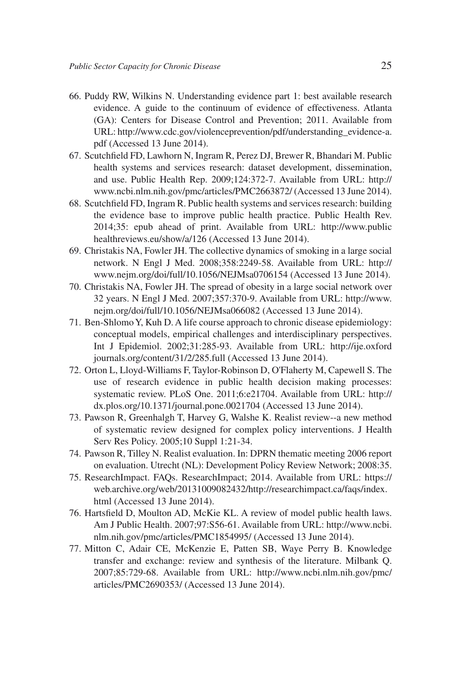- 66. Puddy RW, Wilkins N. Understanding evidence part 1: best available research evidence. A guide to the continuum of evidence of effectiveness. Atlanta (GA): Centers for Disease Control and Prevention; 2011. Available from URL: http://www.cdc.gov/violenceprevention/pdf/understanding\_evidence-a. pdf (Accessed 13 June 2014).
- 67. Scutchfield FD, Lawhorn N, Ingram R, Perez DJ, Brewer R, Bhandari M. Public health systems and services research: dataset development, dissemination, and use. Public Health Rep. 2009;124:372-7. Available from URL: http:// www.ncbi.nlm.nih.gov/pmc/articles/PMC2663872/ (Accessed 13 June 2014).
- 68. Scutchfield FD, Ingram R. Public health systems and services research: building the evidence base to improve public health practice. Public Health Rev. 2014;35: epub ahead of print. Available from URL: http://www.public healthreviews.eu/show/a/126 (Accessed 13 June 2014).
- 69. Christakis NA, Fowler JH. The collective dynamics of smoking in a large social network. N Engl J Med. 2008;358:2249-58. Available from URL: http:// www.nejm.org/doi/full/10.1056/NEJMsa0706154 (Accessed 13 June 2014).
- 70. Christakis NA, Fowler JH. The spread of obesity in a large social network over 32 years. N Engl J Med. 2007;357:370-9. Available from URL: http://www. nejm.org/doi/full/10.1056/NEJMsa066082 (Accessed 13 June 2014).
- 71. Ben-Shlomo Y, Kuh D. A life course approach to chronic disease epidemiology: conceptual models, empirical challenges and interdisciplinary perspectives. Int J Epidemiol. 2002;31:285-93. Available from URL: http://ije.oxford journals.org/content/31/2/285.full (Accessed 13 June 2014).
- 72. Orton L, Lloyd-Williams F, Taylor-Robinson D, O'Flaherty M, Capewell S. The use of research evidence in public health decision making processes: systematic review. PLoS One. 2011;6:e21704. Available from URL: http:// dx.plos.org/10.1371/journal.pone.0021704 (Accessed 13 June 2014).
- 73. Pawson R, Greenhalgh T, Harvey G, Walshe K. Realist review--a new method of systematic review designed for complex policy interventions. J Health Serv Res Policy. 2005;10 Suppl 1:21-34.
- 74. Pawson R, Tilley N. Realist evaluation. In: DPRN thematic meeting 2006 report on evaluation. Utrecht (NL): Development Policy Review Network; 2008:35.
- 75. ResearchImpact. FAQs. ResearchImpact; 2014. Available from URL: https:// web.archive.org/web/20131009082432/http://researchimpact.ca/faqs/index. html (Accessed 13 June 2014).
- 76. Hartsfield D, Moulton AD, McKie KL. A review of model public health laws. Am J Public Health. 2007;97:S56-61. Available from URL: http://www.ncbi. nlm.nih.gov/pmc/articles/PMC1854995/ (Accessed 13 June 2014).
- 77. Mitton C, Adair CE, McKenzie E, Patten SB, Waye Perry B. Knowledge transfer and exchange: review and synthesis of the literature. Milbank Q. 2007;85:729-68. Available from URL: http://www.ncbi.nlm.nih.gov/pmc/ articles/PMC2690353/ (Accessed 13 June 2014).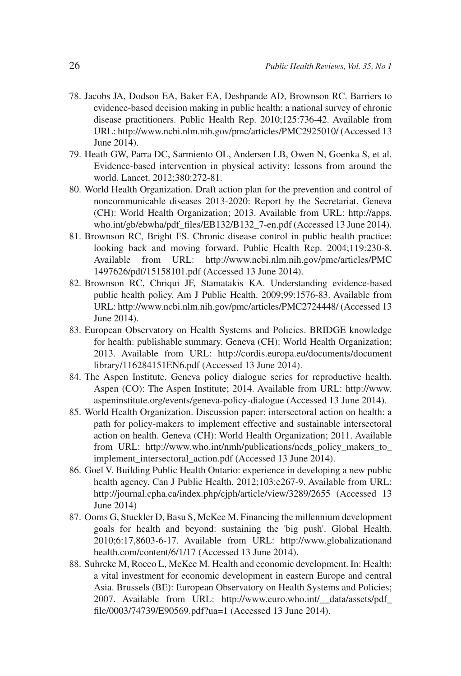- 78. Jacobs JA, Dodson EA, Baker EA, Deshpande AD, Brownson RC. Barriers to evidence-based decision making in public health: a national survey of chronic disease practitioners. Public Health Rep. 2010;125:736-42. Available from URL: http://www.ncbi.nlm.nih.gov/pmc/articles/PMC2925010/ (Accessed 13 June 2014).
- 79. Heath GW, Parra DC, Sarmiento OL, Andersen LB, Owen N, Goenka S, et al. Evidence-based intervention in physical activity: lessons from around the world. Lancet. 2012;380:272-81.
- 80. World Health Organization. Draft action plan for the prevention and control of noncommunicable diseases 2013-2020: Report by the Secretariat. Geneva (CH): World Health Organization; 2013. Available from URL: http://apps. who.int/gb/ebwha/pdf\_files/EB132/B132\_7-en.pdf (Accessed 13 June 2014).
- 81. Brownson RC, Bright FS. Chronic disease control in public health practice: looking back and moving forward. Public Health Rep. 2004;119:230-8. Available from URL: http://www.ncbi.nlm.nih.gov/pmc/articles/PMC 1497626/pdf/15158101.pdf (Accessed 13 June 2014).
- 82. Brownson RC, Chriqui JF, Stamatakis KA. Understanding evidence-based public health policy. Am J Public Health. 2009;99:1576-83. Available from URL: http://www.ncbi.nlm.nih.gov/pmc/articles/PMC2724448/ (Accessed 13 June 2014).
- 83. European Observatory on Health Systems and Policies. BRIDGE knowledge for health: publishable summary. Geneva (CH): World Health Organization; 2013. Available from URL: http://cordis.europa.eu/documents/document library/116284151EN6.pdf (Accessed 13 June 2014).
- 84. The Aspen Institute. Geneva policy dialogue series for reproductive health. Aspen (CO): The Aspen Institute; 2014. Available from URL: http://www. aspeninstitute.org/events/geneva-policy-dialogue (Accessed 13 June 2014).
- 85. World Health Organization. Discussion paper: intersectoral action on health: a path for policy-makers to implement effective and sustainable intersectoral action on health. Geneva (CH): World Health Organization; 2011. Available from URL: http://www.who.int/nmh/publications/ncds\_policy\_makers\_to\_ implement intersectoral action.pdf (Accessed 13 June 2014).
- 86. Goel V. Building Public Health Ontario: experience in developing a new public health agency. Can J Public Health. 2012;103:e267-9. Available from URL: http://journal.cpha.ca/index.php/cjph/article/view/3289/2655 (Accessed 13 June 2014)
- 87. Ooms G, Stuckler D, Basu S, McKee M. Financing the millennium development goals for health and beyond: sustaining the 'big push'. Global Health. 2010;6:17,8603-6-17. Available from URL: http://www.globalizationand health.com/content/6/1/17 (Accessed 13 June 2014).
- 88. Suhrcke M, Rocco L, McKee M. Health and economic development. In: Health: a vital investment for economic development in eastern Europe and central Asia. Brussels (BE): European Observatory on Health Systems and Policies; 2007. Available from URL: http://www.euro.who.int/\_\_data/assets/pdf\_ file/0003/74739/E90569.pdf?ua=1 (Accessed 13 June 2014).